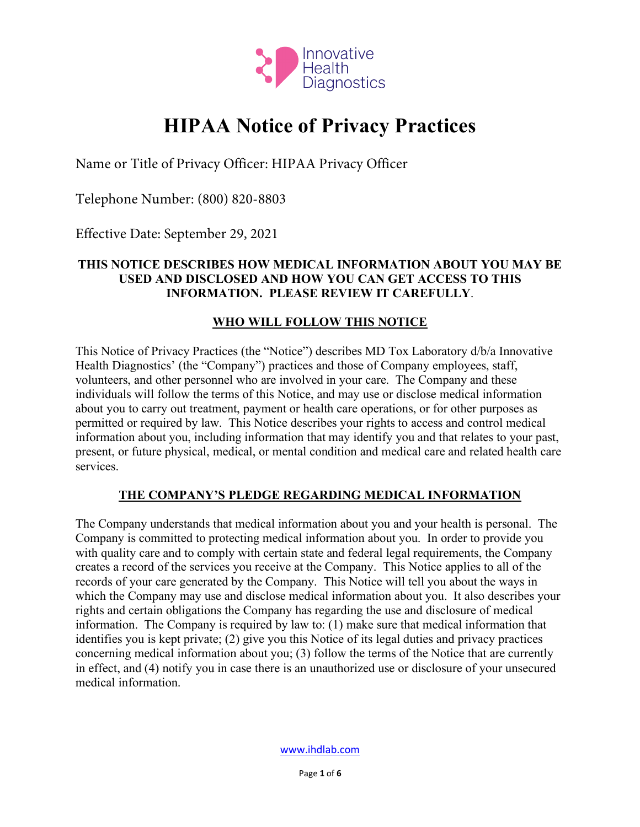

# **HIPAA Notice of Privacy Practices**

Name or Title of Privacy Officer: HIPAA Privacy Officer

Telephone Number: (800) 820-8803

Effective Date: September 29, 2021

#### **THIS NOTICE DESCRIBES HOW MEDICAL INFORMATION ABOUT YOU MAY BE USED AND DISCLOSED AND HOW YOU CAN GET ACCESS TO THIS INFORMATION. PLEASE REVIEW IT CAREFULLY**.

#### **WHO WILL FOLLOW THIS NOTICE**

This Notice of Privacy Practices (the "Notice") describes MD Tox Laboratory d/b/a Innovative Health Diagnostics' (the "Company") practices and those of Company employees, staff, volunteers, and other personnel who are involved in your care. The Company and these individuals will follow the terms of this Notice, and may use or disclose medical information about you to carry out treatment, payment or health care operations, or for other purposes as permitted or required by law. This Notice describes your rights to access and control medical information about you, including information that may identify you and that relates to your past, present, or future physical, medical, or mental condition and medical care and related health care services.

#### **THE COMPANY'S PLEDGE REGARDING MEDICAL INFORMATION**

The Company understands that medical information about you and your health is personal. The Company is committed to protecting medical information about you. In order to provide you with quality care and to comply with certain state and federal legal requirements, the Company creates a record of the services you receive at the Company. This Notice applies to all of the records of your care generated by the Company. This Notice will tell you about the ways in which the Company may use and disclose medical information about you. It also describes your rights and certain obligations the Company has regarding the use and disclosure of medical information. The Company is required by law to: (1) make sure that medical information that identifies you is kept private; (2) give you this Notice of its legal duties and privacy practices concerning medical information about you; (3) follow the terms of the Notice that are currently in effect, and (4) notify you in case there is an unauthorized use or disclosure of your unsecured medical information.

www.ihdlab.com

Page **1** of **6**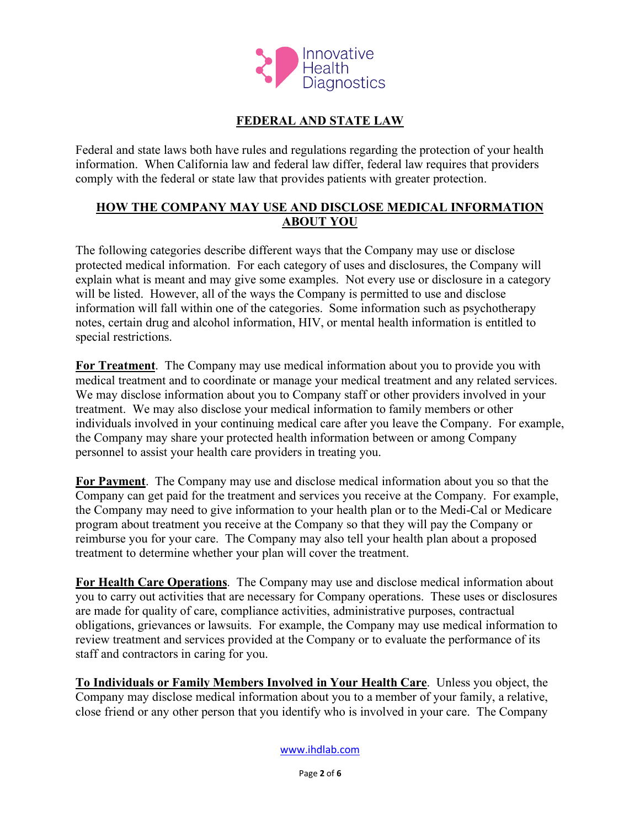

### **FEDERAL AND STATE LAW**

Federal and state laws both have rules and regulations regarding the protection of your health information. When California law and federal law differ, federal law requires that providers comply with the federal or state law that provides patients with greater protection.

#### **HOW THE COMPANY MAY USE AND DISCLOSE MEDICAL INFORMATION ABOUT YOU**

The following categories describe different ways that the Company may use or disclose protected medical information. For each category of uses and disclosures, the Company will explain what is meant and may give some examples. Not every use or disclosure in a category will be listed. However, all of the ways the Company is permitted to use and disclose information will fall within one of the categories. Some information such as psychotherapy notes, certain drug and alcohol information, HIV, or mental health information is entitled to special restrictions.

**For Treatment**. The Company may use medical information about you to provide you with medical treatment and to coordinate or manage your medical treatment and any related services. We may disclose information about you to Company staff or other providers involved in your treatment. We may also disclose your medical information to family members or other individuals involved in your continuing medical care after you leave the Company. For example, the Company may share your protected health information between or among Company personnel to assist your health care providers in treating you.

**For Payment**. The Company may use and disclose medical information about you so that the Company can get paid for the treatment and services you receive at the Company. For example, the Company may need to give information to your health plan or to the Medi-Cal or Medicare program about treatment you receive at the Company so that they will pay the Company or reimburse you for your care. The Company may also tell your health plan about a proposed treatment to determine whether your plan will cover the treatment.

**For Health Care Operations**. The Company may use and disclose medical information about you to carry out activities that are necessary for Company operations. These uses or disclosures are made for quality of care, compliance activities, administrative purposes, contractual obligations, grievances or lawsuits. For example, the Company may use medical information to review treatment and services provided at the Company or to evaluate the performance of its staff and contractors in caring for you.

**To Individuals or Family Members Involved in Your Health Care**. Unless you object, the Company may disclose medical information about you to a member of your family, a relative, close friend or any other person that you identify who is involved in your care. The Company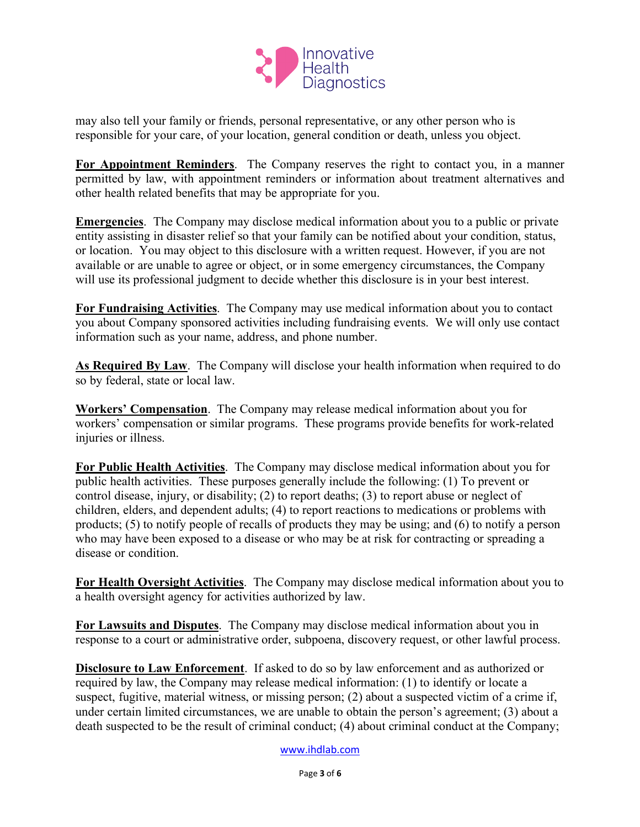

may also tell your family or friends, personal representative, or any other person who is responsible for your care, of your location, general condition or death, unless you object.

**For Appointment Reminders**. The Company reserves the right to contact you, in a manner permitted by law, with appointment reminders or information about treatment alternatives and other health related benefits that may be appropriate for you.

**Emergencies**. The Company may disclose medical information about you to a public or private entity assisting in disaster relief so that your family can be notified about your condition, status, or location. You may object to this disclosure with a written request. However, if you are not available or are unable to agree or object, or in some emergency circumstances, the Company will use its professional judgment to decide whether this disclosure is in your best interest.

**For Fundraising Activities**. The Company may use medical information about you to contact you about Company sponsored activities including fundraising events. We will only use contact information such as your name, address, and phone number.

**As Required By Law**. The Company will disclose your health information when required to do so by federal, state or local law.

**Workers' Compensation**. The Company may release medical information about you for workers' compensation or similar programs. These programs provide benefits for work-related injuries or illness.

**For Public Health Activities**. The Company may disclose medical information about you for public health activities. These purposes generally include the following: (1) To prevent or control disease, injury, or disability; (2) to report deaths; (3) to report abuse or neglect of children, elders, and dependent adults; (4) to report reactions to medications or problems with products; (5) to notify people of recalls of products they may be using; and (6) to notify a person who may have been exposed to a disease or who may be at risk for contracting or spreading a disease or condition.

**For Health Oversight Activities**. The Company may disclose medical information about you to a health oversight agency for activities authorized by law.

**For Lawsuits and Disputes**. The Company may disclose medical information about you in response to a court or administrative order, subpoena, discovery request, or other lawful process.

**Disclosure to Law Enforcement**. If asked to do so by law enforcement and as authorized or required by law, the Company may release medical information: (1) to identify or locate a suspect, fugitive, material witness, or missing person; (2) about a suspected victim of a crime if, under certain limited circumstances, we are unable to obtain the person's agreement; (3) about a death suspected to be the result of criminal conduct; (4) about criminal conduct at the Company;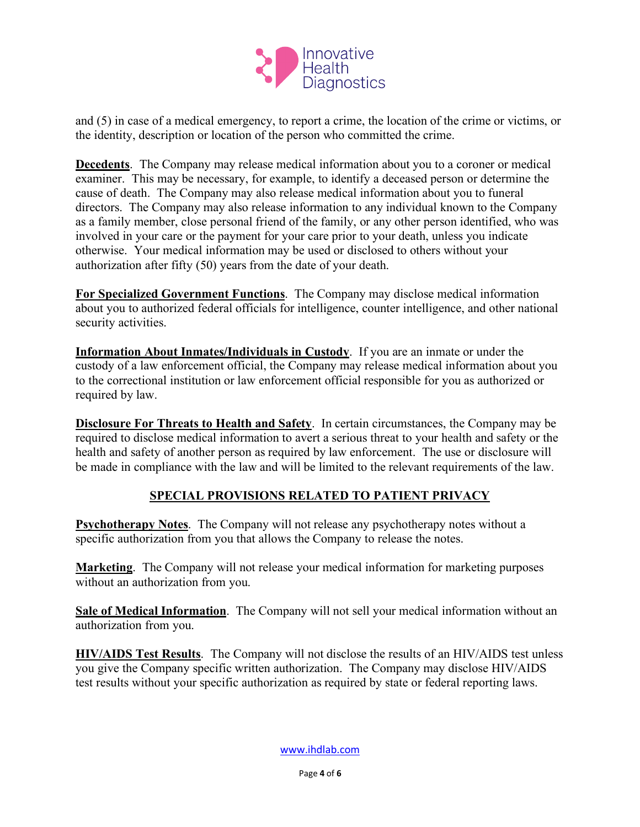

and (5) in case of a medical emergency, to report a crime, the location of the crime or victims, or the identity, description or location of the person who committed the crime.

**Decedents**. The Company may release medical information about you to a coroner or medical examiner. This may be necessary, for example, to identify a deceased person or determine the cause of death. The Company may also release medical information about you to funeral directors. The Company may also release information to any individual known to the Company as a family member, close personal friend of the family, or any other person identified, who was involved in your care or the payment for your care prior to your death, unless you indicate otherwise. Your medical information may be used or disclosed to others without your authorization after fifty (50) years from the date of your death.

**For Specialized Government Functions**. The Company may disclose medical information about you to authorized federal officials for intelligence, counter intelligence, and other national security activities.

**Information About Inmates/Individuals in Custody**. If you are an inmate or under the custody of a law enforcement official, the Company may release medical information about you to the correctional institution or law enforcement official responsible for you as authorized or required by law.

**Disclosure For Threats to Health and Safety**. In certain circumstances, the Company may be required to disclose medical information to avert a serious threat to your health and safety or the health and safety of another person as required by law enforcement. The use or disclosure will be made in compliance with the law and will be limited to the relevant requirements of the law.

#### **SPECIAL PROVISIONS RELATED TO PATIENT PRIVACY**

**Psychotherapy Notes**. The Company will not release any psychotherapy notes without a specific authorization from you that allows the Company to release the notes.

**Marketing**. The Company will not release your medical information for marketing purposes without an authorization from you.

**Sale of Medical Information**. The Company will not sell your medical information without an authorization from you.

**HIV/AIDS Test Results**. The Company will not disclose the results of an HIV/AIDS test unless you give the Company specific written authorization. The Company may disclose HIV/AIDS test results without your specific authorization as required by state or federal reporting laws.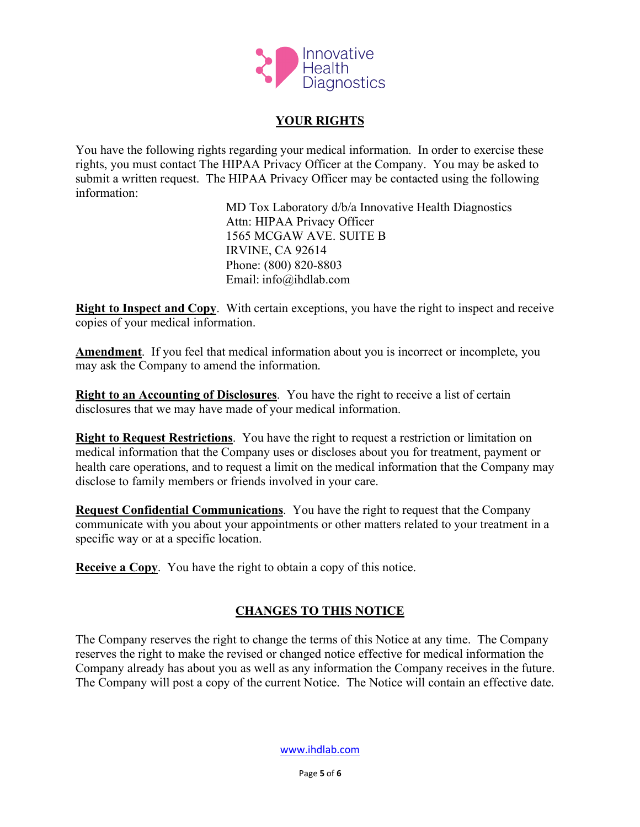

#### **YOUR RIGHTS**

You have the following rights regarding your medical information. In order to exercise these rights, you must contact The HIPAA Privacy Officer at the Company. You may be asked to submit a written request. The HIPAA Privacy Officer may be contacted using the following information:

> MD Tox Laboratory d/b/a Innovative Health Diagnostics Attn: HIPAA Privacy Officer 1565 MCGAW AVE. SUITE B IRVINE, CA 92614 Phone: (800) 820-8803 Email: info@ihdlab.com

**Right to Inspect and Copy**. With certain exceptions, you have the right to inspect and receive copies of your medical information.

**Amendment**. If you feel that medical information about you is incorrect or incomplete, you may ask the Company to amend the information.

**Right to an Accounting of Disclosures**. You have the right to receive a list of certain disclosures that we may have made of your medical information.

**Right to Request Restrictions**. You have the right to request a restriction or limitation on medical information that the Company uses or discloses about you for treatment, payment or health care operations, and to request a limit on the medical information that the Company may disclose to family members or friends involved in your care.

**Request Confidential Communications**. You have the right to request that the Company communicate with you about your appointments or other matters related to your treatment in a specific way or at a specific location.

**Receive a Copy**. You have the right to obtain a copy of this notice.

## **CHANGES TO THIS NOTICE**

The Company reserves the right to change the terms of this Notice at any time. The Company reserves the right to make the revised or changed notice effective for medical information the Company already has about you as well as any information the Company receives in the future. The Company will post a copy of the current Notice. The Notice will contain an effective date.